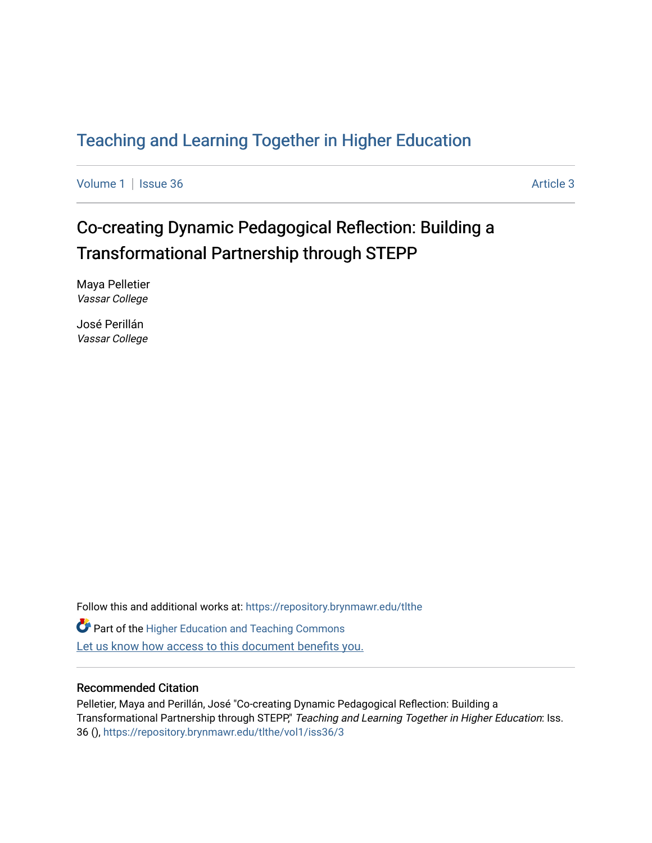## [Teaching and Learning Together in Higher Education](https://repository.brynmawr.edu/tlthe)

[Volume 1](https://repository.brynmawr.edu/tlthe/vol1) | [Issue 36](https://repository.brynmawr.edu/tlthe/vol1/iss36) Article 3

# Co-creating Dynamic Pedagogical Reflection: Building a Transformational Partnership through STEPP

Maya Pelletier Vassar College

José Perillán Vassar College

Follow this and additional works at: [https://repository.brynmawr.edu/tlthe](https://repository.brynmawr.edu/tlthe?utm_source=repository.brynmawr.edu%2Ftlthe%2Fvol1%2Fiss36%2F3&utm_medium=PDF&utm_campaign=PDFCoverPages)  **Part of the Higher Education and Teaching Commons** Let us know how access to this document benefits you.

#### Recommended Citation

Pelletier, Maya and Perillán, José "Co-creating Dynamic Pedagogical Reflection: Building a Transformational Partnership through STEPP," Teaching and Learning Together in Higher Education: Iss. 36 (), [https://repository.brynmawr.edu/tlthe/vol1/iss36/3](https://repository.brynmawr.edu/tlthe/vol1/iss36/3?utm_source=repository.brynmawr.edu%2Ftlthe%2Fvol1%2Fiss36%2F3&utm_medium=PDF&utm_campaign=PDFCoverPages)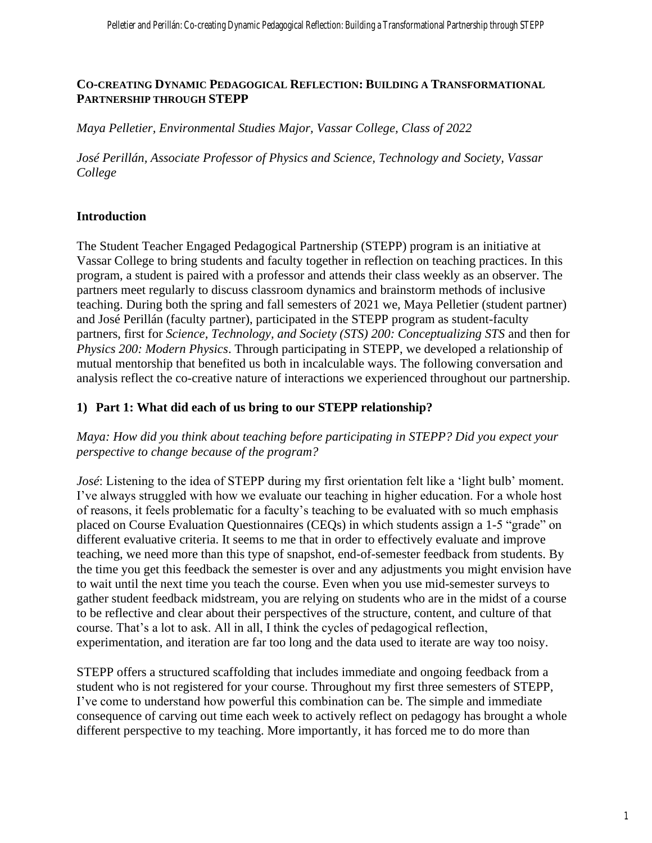#### **CO-CREATING DYNAMIC PEDAGOGICAL REFLECTION: BUILDING A TRANSFORMATIONAL PARTNERSHIP THROUGH STEPP**

*Maya Pelletier, Environmental Studies Major, Vassar College, Class of 2022*

*José Perillán, Associate Professor of Physics and Science, Technology and Society, Vassar College*

## **Introduction**

The Student Teacher Engaged Pedagogical Partnership (STEPP) program is an initiative at Vassar College to bring students and faculty together in reflection on teaching practices. In this program, a student is paired with a professor and attends their class weekly as an observer. The partners meet regularly to discuss classroom dynamics and brainstorm methods of inclusive teaching. During both the spring and fall semesters of 2021 we, Maya Pelletier (student partner) and José Perillán (faculty partner), participated in the STEPP program as student-faculty partners, first for *Science, Technology, and Society (STS) 200: Conceptualizing STS* and then for *Physics 200: Modern Physics*. Through participating in STEPP, we developed a relationship of mutual mentorship that benefited us both in incalculable ways. The following conversation and analysis reflect the co-creative nature of interactions we experienced throughout our partnership.

#### **1) Part 1: What did each of us bring to our STEPP relationship?**

*Maya: How did you think about teaching before participating in STEPP? Did you expect your perspective to change because of the program?*

*José*: Listening to the idea of STEPP during my first orientation felt like a 'light bulb' moment. I've always struggled with how we evaluate our teaching in higher education. For a whole host of reasons, it feels problematic for a faculty's teaching to be evaluated with so much emphasis placed on Course Evaluation Questionnaires (CEQs) in which students assign a 1-5 "grade" on different evaluative criteria. It seems to me that in order to effectively evaluate and improve teaching, we need more than this type of snapshot, end-of-semester feedback from students. By the time you get this feedback the semester is over and any adjustments you might envision have to wait until the next time you teach the course. Even when you use mid-semester surveys to gather student feedback midstream, you are relying on students who are in the midst of a course to be reflective and clear about their perspectives of the structure, content, and culture of that course. That's a lot to ask. All in all, I think the cycles of pedagogical reflection, experimentation, and iteration are far too long and the data used to iterate are way too noisy.

STEPP offers a structured scaffolding that includes immediate and ongoing feedback from a student who is not registered for your course. Throughout my first three semesters of STEPP, I've come to understand how powerful this combination can be. The simple and immediate consequence of carving out time each week to actively reflect on pedagogy has brought a whole different perspective to my teaching. More importantly, it has forced me to do more than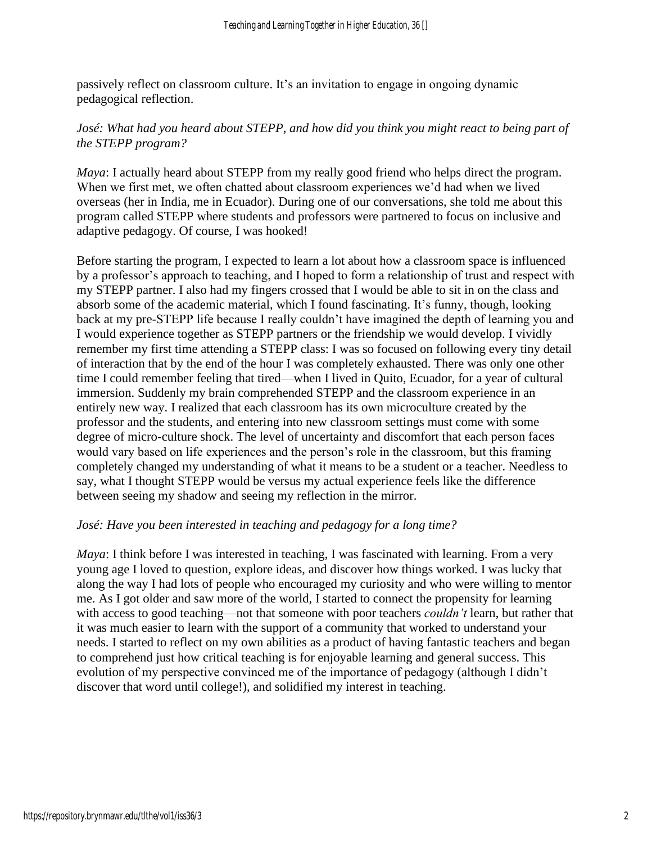passively reflect on classroom culture. It's an invitation to engage in ongoing dynamic pedagogical reflection.

## José: What had you heard about STEPP, and how did you think you might react to being part of *the STEPP program?*

*Maya*: I actually heard about STEPP from my really good friend who helps direct the program. When we first met, we often chatted about classroom experiences we'd had when we lived overseas (her in India, me in Ecuador). During one of our conversations, she told me about this program called STEPP where students and professors were partnered to focus on inclusive and adaptive pedagogy. Of course, I was hooked!

Before starting the program, I expected to learn a lot about how a classroom space is influenced by a professor's approach to teaching, and I hoped to form a relationship of trust and respect with my STEPP partner. I also had my fingers crossed that I would be able to sit in on the class and absorb some of the academic material, which I found fascinating. It's funny, though, looking back at my pre-STEPP life because I really couldn't have imagined the depth of learning you and I would experience together as STEPP partners or the friendship we would develop. I vividly remember my first time attending a STEPP class: I was so focused on following every tiny detail of interaction that by the end of the hour I was completely exhausted. There was only one other time I could remember feeling that tired—when I lived in Quito, Ecuador, for a year of cultural immersion. Suddenly my brain comprehended STEPP and the classroom experience in an entirely new way. I realized that each classroom has its own microculture created by the professor and the students, and entering into new classroom settings must come with some degree of micro-culture shock. The level of uncertainty and discomfort that each person faces would vary based on life experiences and the person's role in the classroom, but this framing completely changed my understanding of what it means to be a student or a teacher. Needless to say, what I thought STEPP would be versus my actual experience feels like the difference between seeing my shadow and seeing my reflection in the mirror.

#### *José: Have you been interested in teaching and pedagogy for a long time?*

*Maya*: I think before I was interested in teaching, I was fascinated with learning. From a very young age I loved to question, explore ideas, and discover how things worked. I was lucky that along the way I had lots of people who encouraged my curiosity and who were willing to mentor me. As I got older and saw more of the world, I started to connect the propensity for learning with access to good teaching—not that someone with poor teachers *couldn't* learn, but rather that it was much easier to learn with the support of a community that worked to understand your needs. I started to reflect on my own abilities as a product of having fantastic teachers and began to comprehend just how critical teaching is for enjoyable learning and general success. This evolution of my perspective convinced me of the importance of pedagogy (although I didn't discover that word until college!), and solidified my interest in teaching.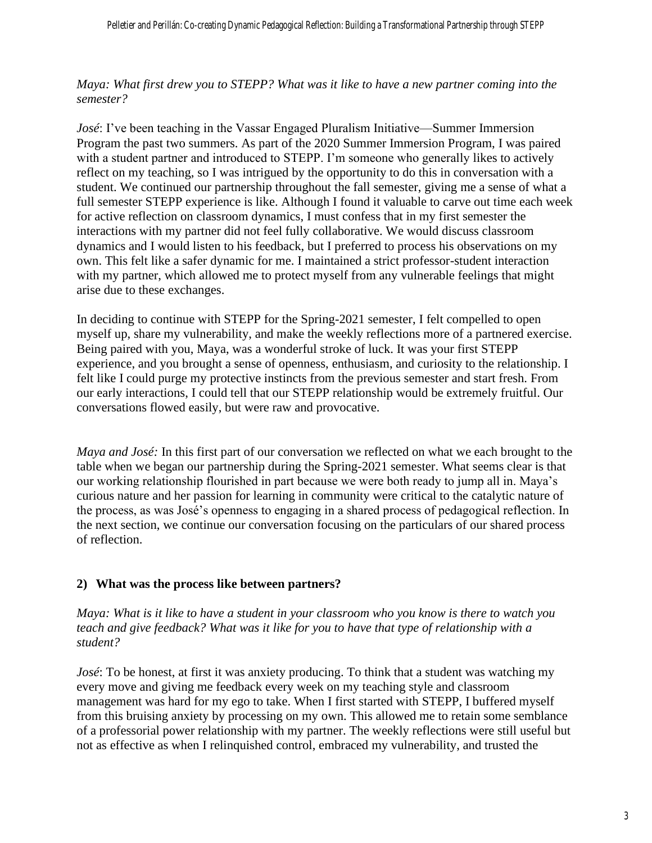*Maya: What first drew you to STEPP? What was it like to have a new partner coming into the semester?* 

*José*: I've been teaching in the Vassar Engaged Pluralism Initiative—Summer Immersion Program the past two summers. As part of the 2020 Summer Immersion Program, I was paired with a student partner and introduced to STEPP. I'm someone who generally likes to actively reflect on my teaching, so I was intrigued by the opportunity to do this in conversation with a student. We continued our partnership throughout the fall semester, giving me a sense of what a full semester STEPP experience is like. Although I found it valuable to carve out time each week for active reflection on classroom dynamics, I must confess that in my first semester the interactions with my partner did not feel fully collaborative. We would discuss classroom dynamics and I would listen to his feedback, but I preferred to process his observations on my own. This felt like a safer dynamic for me. I maintained a strict professor-student interaction with my partner, which allowed me to protect myself from any vulnerable feelings that might arise due to these exchanges.

In deciding to continue with STEPP for the Spring-2021 semester, I felt compelled to open myself up, share my vulnerability, and make the weekly reflections more of a partnered exercise. Being paired with you, Maya, was a wonderful stroke of luck. It was your first STEPP experience, and you brought a sense of openness, enthusiasm, and curiosity to the relationship. I felt like I could purge my protective instincts from the previous semester and start fresh. From our early interactions, I could tell that our STEPP relationship would be extremely fruitful. Our conversations flowed easily, but were raw and provocative.

*Maya and José:* In this first part of our conversation we reflected on what we each brought to the table when we began our partnership during the Spring-2021 semester. What seems clear is that our working relationship flourished in part because we were both ready to jump all in. Maya's curious nature and her passion for learning in community were critical to the catalytic nature of the process, as was José's openness to engaging in a shared process of pedagogical reflection. In the next section, we continue our conversation focusing on the particulars of our shared process of reflection.

## **2) What was the process like between partners?**

*Maya: What is it like to have a student in your classroom who you know is there to watch you teach and give feedback? What was it like for you to have that type of relationship with a student?* 

*José*: To be honest, at first it was anxiety producing. To think that a student was watching my every move and giving me feedback every week on my teaching style and classroom management was hard for my ego to take. When I first started with STEPP, I buffered myself from this bruising anxiety by processing on my own. This allowed me to retain some semblance of a professorial power relationship with my partner. The weekly reflections were still useful but not as effective as when I relinquished control, embraced my vulnerability, and trusted the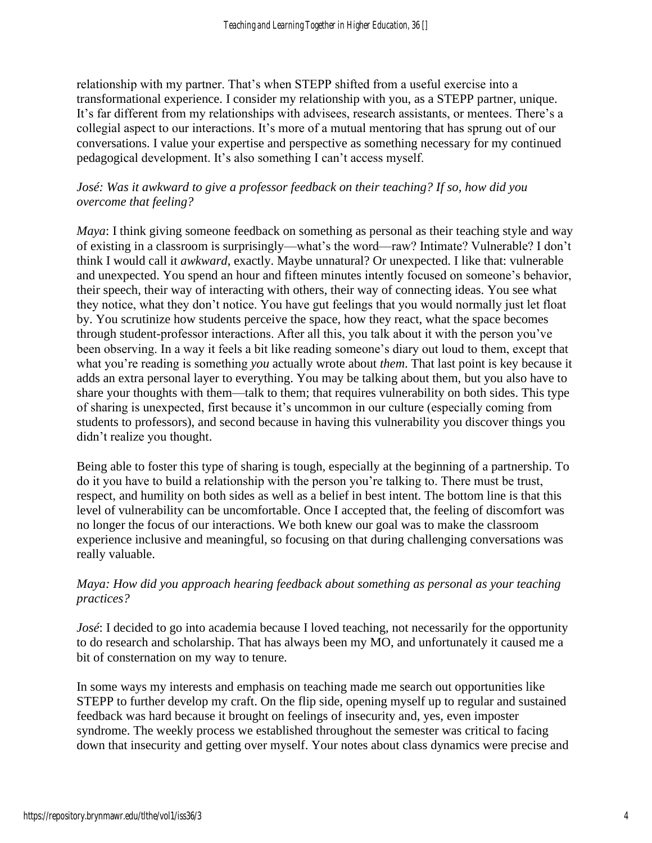relationship with my partner. That's when STEPP shifted from a useful exercise into a transformational experience. I consider my relationship with you, as a STEPP partner, unique. It's far different from my relationships with advisees, research assistants, or mentees. There's a collegial aspect to our interactions. It's more of a mutual mentoring that has sprung out of our conversations. I value your expertise and perspective as something necessary for my continued pedagogical development. It's also something I can't access myself.

## *José: Was it awkward to give a professor feedback on their teaching? If so, how did you overcome that feeling?*

*Maya*: I think giving someone feedback on something as personal as their teaching style and way of existing in a classroom is surprisingly—what's the word—raw? Intimate? Vulnerable? I don't think I would call it *awkward*, exactly. Maybe unnatural? Or unexpected. I like that: vulnerable and unexpected. You spend an hour and fifteen minutes intently focused on someone's behavior, their speech, their way of interacting with others, their way of connecting ideas. You see what they notice, what they don't notice. You have gut feelings that you would normally just let float by. You scrutinize how students perceive the space, how they react, what the space becomes through student-professor interactions. After all this, you talk about it with the person you've been observing. In a way it feels a bit like reading someone's diary out loud to them, except that what you're reading is something *you* actually wrote about *them*. That last point is key because it adds an extra personal layer to everything. You may be talking about them, but you also have to share your thoughts with them—talk to them; that requires vulnerability on both sides. This type of sharing is unexpected, first because it's uncommon in our culture (especially coming from students to professors), and second because in having this vulnerability you discover things you didn't realize you thought.

Being able to foster this type of sharing is tough, especially at the beginning of a partnership. To do it you have to build a relationship with the person you're talking to. There must be trust, respect, and humility on both sides as well as a belief in best intent. The bottom line is that this level of vulnerability can be uncomfortable. Once I accepted that, the feeling of discomfort was no longer the focus of our interactions. We both knew our goal was to make the classroom experience inclusive and meaningful, so focusing on that during challenging conversations was really valuable.

## *Maya: How did you approach hearing feedback about something as personal as your teaching practices?*

*José*: I decided to go into academia because I loved teaching, not necessarily for the opportunity to do research and scholarship. That has always been my MO, and unfortunately it caused me a bit of consternation on my way to tenure.

In some ways my interests and emphasis on teaching made me search out opportunities like STEPP to further develop my craft. On the flip side, opening myself up to regular and sustained feedback was hard because it brought on feelings of insecurity and, yes, even imposter syndrome. The weekly process we established throughout the semester was critical to facing down that insecurity and getting over myself. Your notes about class dynamics were precise and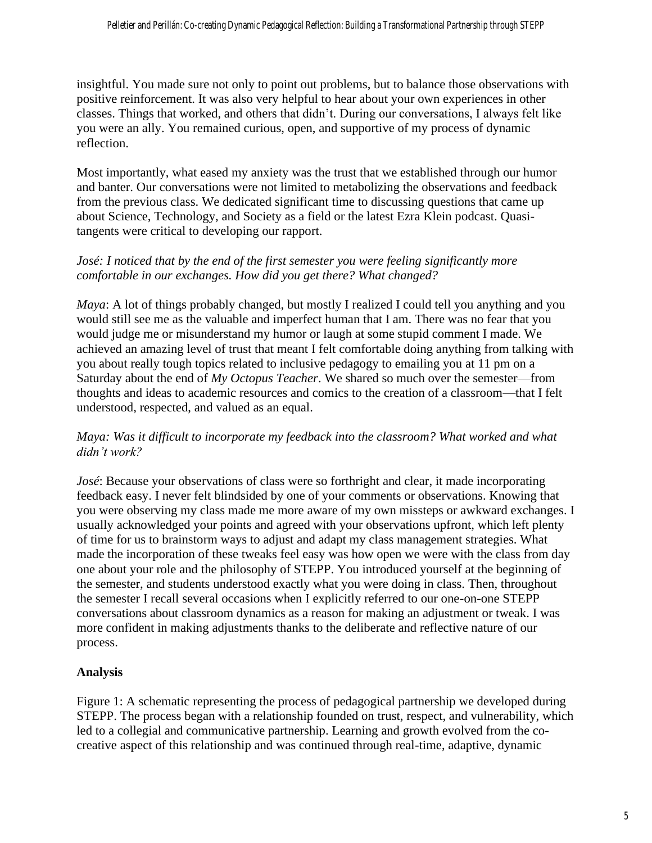insightful. You made sure not only to point out problems, but to balance those observations with positive reinforcement. It was also very helpful to hear about your own experiences in other classes. Things that worked, and others that didn't. During our conversations, I always felt like you were an ally. You remained curious, open, and supportive of my process of dynamic reflection.

Most importantly, what eased my anxiety was the trust that we established through our humor and banter. Our conversations were not limited to metabolizing the observations and feedback from the previous class. We dedicated significant time to discussing questions that came up about Science, Technology, and Society as a field or the latest Ezra Klein podcast. Quasitangents were critical to developing our rapport.

## *José: I noticed that by the end of the first semester you were feeling significantly more comfortable in our exchanges. How did you get there? What changed?*

*Maya*: A lot of things probably changed, but mostly I realized I could tell you anything and you would still see me as the valuable and imperfect human that I am. There was no fear that you would judge me or misunderstand my humor or laugh at some stupid comment I made. We achieved an amazing level of trust that meant I felt comfortable doing anything from talking with you about really tough topics related to inclusive pedagogy to emailing you at 11 pm on a Saturday about the end of *My Octopus Teacher*. We shared so much over the semester—from thoughts and ideas to academic resources and comics to the creation of a classroom—that I felt understood, respected, and valued as an equal.

## *Maya: Was it difficult to incorporate my feedback into the classroom? What worked and what didn't work?*

*José*: Because your observations of class were so forthright and clear, it made incorporating feedback easy. I never felt blindsided by one of your comments or observations. Knowing that you were observing my class made me more aware of my own missteps or awkward exchanges. I usually acknowledged your points and agreed with your observations upfront, which left plenty of time for us to brainstorm ways to adjust and adapt my class management strategies. What made the incorporation of these tweaks feel easy was how open we were with the class from day one about your role and the philosophy of STEPP. You introduced yourself at the beginning of the semester, and students understood exactly what you were doing in class. Then, throughout the semester I recall several occasions when I explicitly referred to our one-on-one STEPP conversations about classroom dynamics as a reason for making an adjustment or tweak. I was more confident in making adjustments thanks to the deliberate and reflective nature of our process.

## **Analysis**

Figure 1: A schematic representing the process of pedagogical partnership we developed during STEPP. The process began with a relationship founded on trust, respect, and vulnerability, which led to a collegial and communicative partnership. Learning and growth evolved from the cocreative aspect of this relationship and was continued through real-time, adaptive, dynamic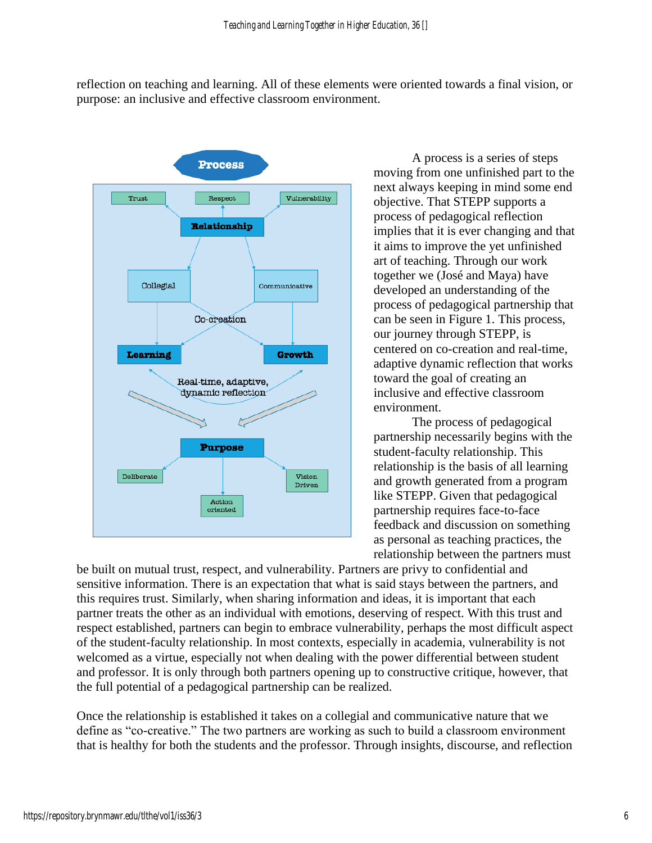reflection on teaching and learning. All of these elements were oriented towards a final vision, or purpose: an inclusive and effective classroom environment.



A process is a series of steps moving from one unfinished part to the next always keeping in mind some end objective. That STEPP supports a process of pedagogical reflection implies that it is ever changing and that it aims to improve the yet unfinished art of teaching. Through our work together we (José and Maya) have developed an understanding of the process of pedagogical partnership that can be seen in Figure 1. This process, our journey through STEPP, is centered on co-creation and real-time, adaptive dynamic reflection that works toward the goal of creating an inclusive and effective classroom environment.

The process of pedagogical partnership necessarily begins with the student-faculty relationship. This relationship is the basis of all learning and growth generated from a program like STEPP. Given that pedagogical partnership requires face-to-face feedback and discussion on something as personal as teaching practices, the relationship between the partners must

be built on mutual trust, respect, and vulnerability. Partners are privy to confidential and sensitive information. There is an expectation that what is said stays between the partners, and this requires trust. Similarly, when sharing information and ideas, it is important that each partner treats the other as an individual with emotions, deserving of respect. With this trust and respect established, partners can begin to embrace vulnerability, perhaps the most difficult aspect of the student-faculty relationship. In most contexts, especially in academia, vulnerability is not welcomed as a virtue, especially not when dealing with the power differential between student and professor. It is only through both partners opening up to constructive critique, however, that the full potential of a pedagogical partnership can be realized.

Once the relationship is established it takes on a collegial and communicative nature that we define as "co-creative." The two partners are working as such to build a classroom environment that is healthy for both the students and the professor. Through insights, discourse, and reflection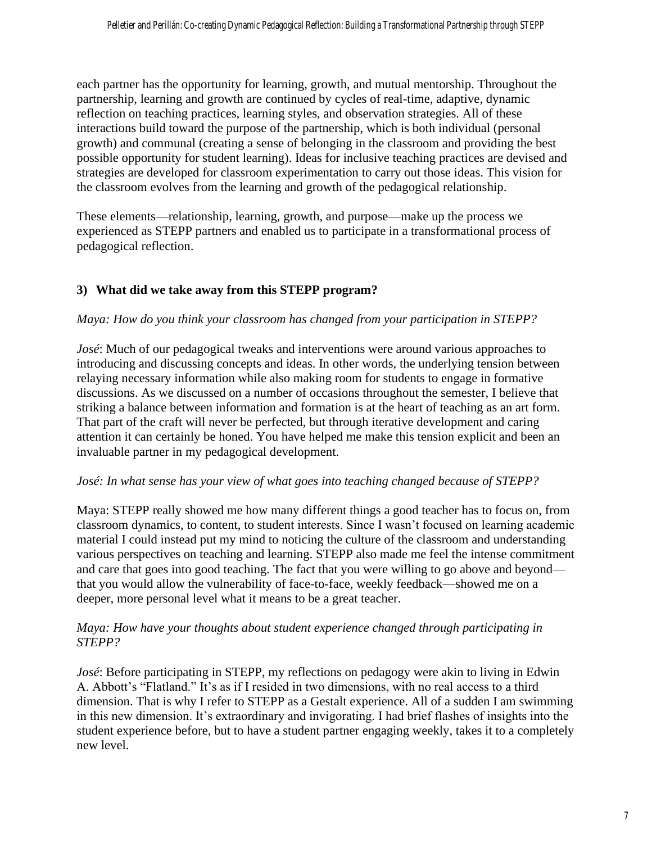each partner has the opportunity for learning, growth, and mutual mentorship. Throughout the partnership, learning and growth are continued by cycles of real-time, adaptive, dynamic reflection on teaching practices, learning styles, and observation strategies. All of these interactions build toward the purpose of the partnership, which is both individual (personal growth) and communal (creating a sense of belonging in the classroom and providing the best possible opportunity for student learning). Ideas for inclusive teaching practices are devised and strategies are developed for classroom experimentation to carry out those ideas. This vision for the classroom evolves from the learning and growth of the pedagogical relationship.

These elements—relationship, learning, growth, and purpose—make up the process we experienced as STEPP partners and enabled us to participate in a transformational process of pedagogical reflection.

## **3) What did we take away from this STEPP program?**

## *Maya: How do you think your classroom has changed from your participation in STEPP?*

*José*: Much of our pedagogical tweaks and interventions were around various approaches to introducing and discussing concepts and ideas. In other words, the underlying tension between relaying necessary information while also making room for students to engage in formative discussions. As we discussed on a number of occasions throughout the semester, I believe that striking a balance between information and formation is at the heart of teaching as an art form. That part of the craft will never be perfected, but through iterative development and caring attention it can certainly be honed. You have helped me make this tension explicit and been an invaluable partner in my pedagogical development.

## *José: In what sense has your view of what goes into teaching changed because of STEPP?*

Maya: STEPP really showed me how many different things a good teacher has to focus on, from classroom dynamics, to content, to student interests. Since I wasn't focused on learning academic material I could instead put my mind to noticing the culture of the classroom and understanding various perspectives on teaching and learning. STEPP also made me feel the intense commitment and care that goes into good teaching. The fact that you were willing to go above and beyond that you would allow the vulnerability of face-to-face, weekly feedback—showed me on a deeper, more personal level what it means to be a great teacher.

#### *Maya: How have your thoughts about student experience changed through participating in STEPP?*

*José*: Before participating in STEPP, my reflections on pedagogy were akin to living in Edwin A. Abbott's "Flatland." It's as if I resided in two dimensions, with no real access to a third dimension. That is why I refer to STEPP as a Gestalt experience. All of a sudden I am swimming in this new dimension. It's extraordinary and invigorating. I had brief flashes of insights into the student experience before, but to have a student partner engaging weekly, takes it to a completely new level.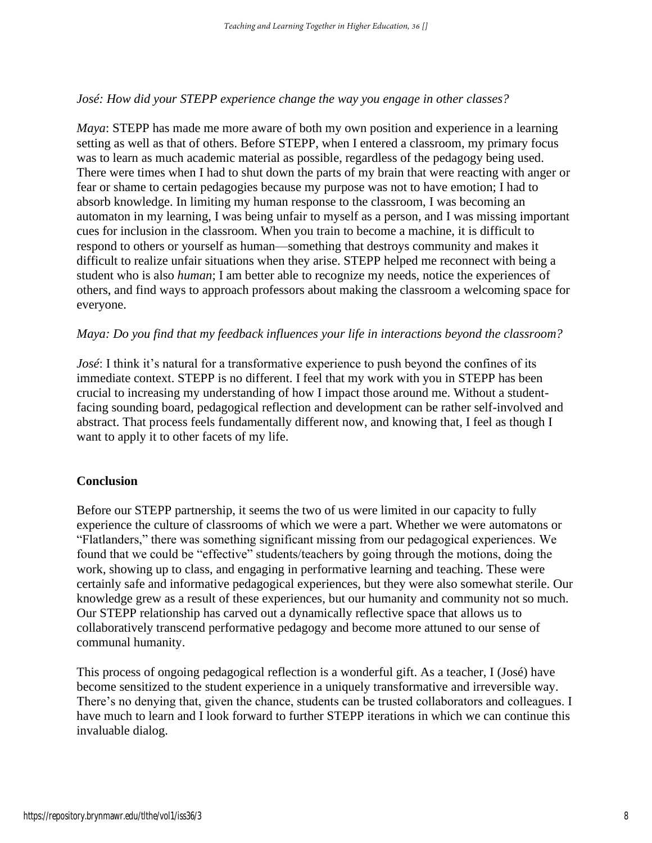#### *José: How did your STEPP experience change the way you engage in other classes?*

*Maya*: STEPP has made me more aware of both my own position and experience in a learning setting as well as that of others. Before STEPP, when I entered a classroom, my primary focus was to learn as much academic material as possible, regardless of the pedagogy being used. There were times when I had to shut down the parts of my brain that were reacting with anger or fear or shame to certain pedagogies because my purpose was not to have emotion; I had to absorb knowledge. In limiting my human response to the classroom, I was becoming an automaton in my learning, I was being unfair to myself as a person, and I was missing important cues for inclusion in the classroom. When you train to become a machine, it is difficult to respond to others or yourself as human—something that destroys community and makes it difficult to realize unfair situations when they arise. STEPP helped me reconnect with being a student who is also *human*; I am better able to recognize my needs, notice the experiences of others, and find ways to approach professors about making the classroom a welcoming space for everyone.

#### *Maya: Do you find that my feedback influences your life in interactions beyond the classroom?*

*José*: I think it's natural for a transformative experience to push beyond the confines of its immediate context. STEPP is no different. I feel that my work with you in STEPP has been crucial to increasing my understanding of how I impact those around me. Without a studentfacing sounding board, pedagogical reflection and development can be rather self-involved and abstract. That process feels fundamentally different now, and knowing that, I feel as though I want to apply it to other facets of my life.

#### **Conclusion**

Before our STEPP partnership, it seems the two of us were limited in our capacity to fully experience the culture of classrooms of which we were a part. Whether we were automatons or "Flatlanders," there was something significant missing from our pedagogical experiences. We found that we could be "effective" students/teachers by going through the motions, doing the work, showing up to class, and engaging in performative learning and teaching. These were certainly safe and informative pedagogical experiences, but they were also somewhat sterile. Our knowledge grew as a result of these experiences, but our humanity and community not so much. Our STEPP relationship has carved out a dynamically reflective space that allows us to collaboratively transcend performative pedagogy and become more attuned to our sense of communal humanity.

This process of ongoing pedagogical reflection is a wonderful gift. As a teacher, I (José) have become sensitized to the student experience in a uniquely transformative and irreversible way. There's no denying that, given the chance, students can be trusted collaborators and colleagues. I have much to learn and I look forward to further STEPP iterations in which we can continue this invaluable dialog.